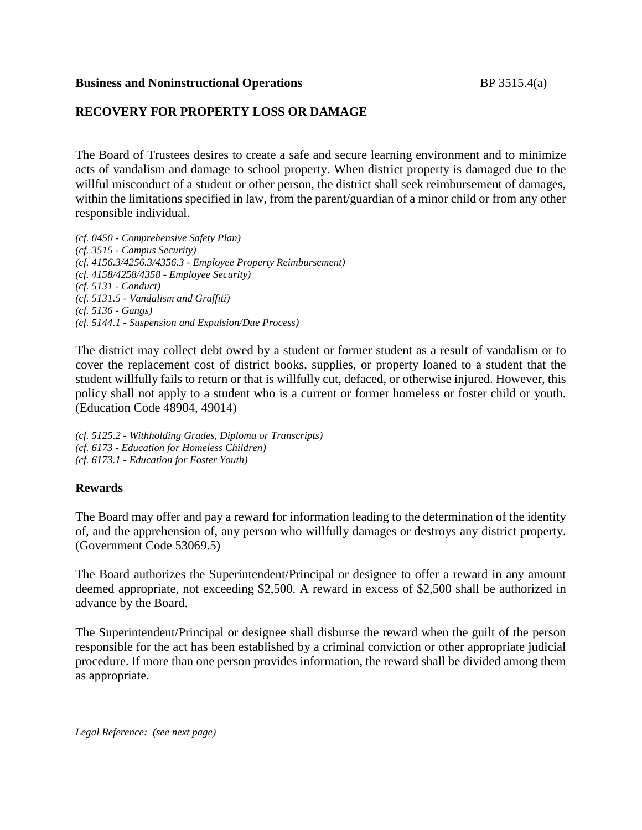### **Business and Noninstructional Operations** BP 3515.4(a)

# **RECOVERY FOR PROPERTY LOSS OR DAMAGE**

The Board of Trustees desires to create a safe and secure learning environment and to minimize acts of vandalism and damage to school property. When district property is damaged due to the willful misconduct of a student or other person, the district shall seek reimbursement of damages, within the limitations specified in law, from the parent/guardian of a minor child or from any other responsible individual.

*(cf. 0450 - Comprehensive Safety Plan) (cf. 3515 - Campus Security) (cf. 4156.3/4256.3/4356.3 - Employee Property Reimbursement) (cf. 4158/4258/4358 - Employee Security) (cf. 5131 - Conduct) (cf. 5131.5 - Vandalism and Graffiti) (cf. 5136 - Gangs) (cf. 5144.1 - Suspension and Expulsion/Due Process)*

The district may collect debt owed by a student or former student as a result of vandalism or to cover the replacement cost of district books, supplies, or property loaned to a student that the student willfully fails to return or that is willfully cut, defaced, or otherwise injured. However, this policy shall not apply to a student who is a current or former homeless or foster child or youth. (Education Code 48904, 49014)

*(cf. 5125.2 - Withholding Grades, Diploma or Transcripts) (cf. 6173 - Education for Homeless Children) (cf. 6173.1 - Education for Foster Youth)*

## **Rewards**

The Board may offer and pay a reward for information leading to the determination of the identity of, and the apprehension of, any person who willfully damages or destroys any district property. (Government Code 53069.5)

The Board authorizes the Superintendent/Principal or designee to offer a reward in any amount deemed appropriate, not exceeding \$2,500. A reward in excess of \$2,500 shall be authorized in advance by the Board.

The Superintendent/Principal or designee shall disburse the reward when the guilt of the person responsible for the act has been established by a criminal conviction or other appropriate judicial procedure. If more than one person provides information, the reward shall be divided among them as appropriate.

*Legal Reference: (see next page)*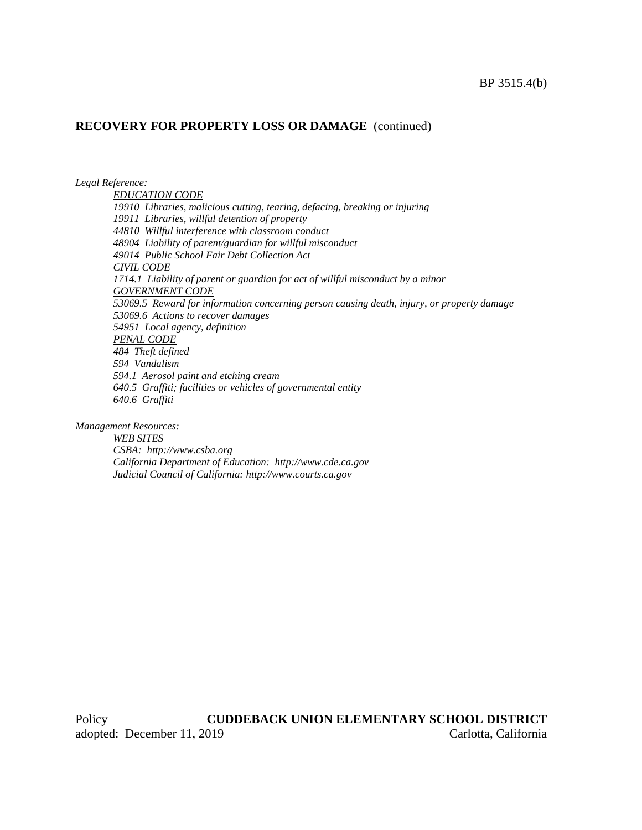#### **RECOVERY FOR PROPERTY LOSS OR DAMAGE** (continued)

*Legal Reference:*

*EDUCATION CODE 19910 Libraries, malicious cutting, tearing, defacing, breaking or injuring 19911 Libraries, willful detention of property 44810 Willful interference with classroom conduct 48904 Liability of parent/guardian for willful misconduct 49014 Public School Fair Debt Collection Act CIVIL CODE 1714.1 Liability of parent or guardian for act of willful misconduct by a minor GOVERNMENT CODE 53069.5 Reward for information concerning person causing death, injury, or property damage 53069.6 Actions to recover damages 54951 Local agency, definition PENAL CODE 484 Theft defined 594 Vandalism 594.1 Aerosol paint and etching cream 640.5 Graffiti; facilities or vehicles of governmental entity 640.6 Graffiti*

*Management Resources:*

*WEB SITES CSBA: http://www.csba.org California Department of Education: http://www.cde.ca.gov Judicial Council of California: http://www.courts.ca.gov*

Policy **CUDDEBACK UNION ELEMENTARY SCHOOL DISTRICT** adopted: December 11, 2019 Carlotta, California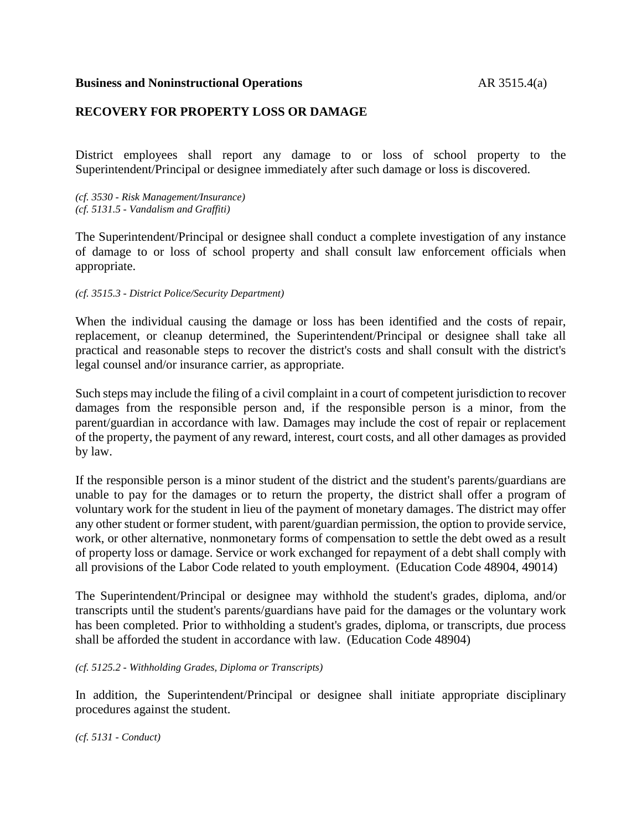## **RECOVERY FOR PROPERTY LOSS OR DAMAGE**

District employees shall report any damage to or loss of school property to the Superintendent/Principal or designee immediately after such damage or loss is discovered.

*(cf. 3530 - Risk Management/Insurance) (cf. 5131.5 - Vandalism and Graffiti)*

The Superintendent/Principal or designee shall conduct a complete investigation of any instance of damage to or loss of school property and shall consult law enforcement officials when appropriate.

#### *(cf. 3515.3 - District Police/Security Department)*

When the individual causing the damage or loss has been identified and the costs of repair, replacement, or cleanup determined, the Superintendent/Principal or designee shall take all practical and reasonable steps to recover the district's costs and shall consult with the district's legal counsel and/or insurance carrier, as appropriate.

Such steps may include the filing of a civil complaint in a court of competent jurisdiction to recover damages from the responsible person and, if the responsible person is a minor, from the parent/guardian in accordance with law. Damages may include the cost of repair or replacement of the property, the payment of any reward, interest, court costs, and all other damages as provided by law.

If the responsible person is a minor student of the district and the student's parents/guardians are unable to pay for the damages or to return the property, the district shall offer a program of voluntary work for the student in lieu of the payment of monetary damages. The district may offer any other student or former student, with parent/guardian permission, the option to provide service, work, or other alternative, nonmonetary forms of compensation to settle the debt owed as a result of property loss or damage. Service or work exchanged for repayment of a debt shall comply with all provisions of the Labor Code related to youth employment. (Education Code 48904, 49014)

The Superintendent/Principal or designee may withhold the student's grades, diploma, and/or transcripts until the student's parents/guardians have paid for the damages or the voluntary work has been completed. Prior to withholding a student's grades, diploma, or transcripts, due process shall be afforded the student in accordance with law. (Education Code 48904)

#### *(cf. 5125.2 - Withholding Grades, Diploma or Transcripts)*

In addition, the Superintendent/Principal or designee shall initiate appropriate disciplinary procedures against the student.

*(cf. 5131 - Conduct)*